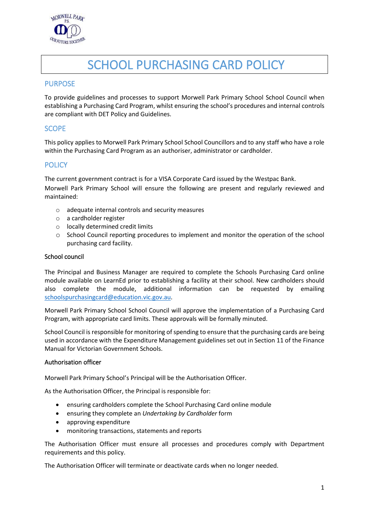

# SCHOOL PURCHASING CARD POLICY

# PURPOSE

To provide guidelines and processes to support Morwell Park Primary School School Council when establishing a Purchasing Card Program, whilst ensuring the school's procedures and internal controls are compliant with DET Policy and Guidelines.

## SCOPE

This policy applies to Morwell Park Primary School School Councillors and to any staff who have a role within the Purchasing Card Program as an authoriser, administrator or cardholder.

# **POLICY**

The current government contract is for a VISA Corporate Card issued by the Westpac Bank.

Morwell Park Primary School will ensure the following are present and regularly reviewed and maintained:

- o adequate internal controls and security measures
- o a cardholder register
- o locally determined credit limits
- o School Council reporting procedures to implement and monitor the operation of the school purchasing card facility.

#### School council

The Principal and Business Manager are required to complete the Schools Purchasing Card online module available on LearnEd prior to establishing a facility at their school. New cardholders should also complete the module, additional information can be requested by emailing [schoolspurchasingcard@education.vic.gov.au.](mailto:schoolspurchasingcard@education.vic.gov.au)

Morwell Park Primary School School Council will approve the implementation of a Purchasing Card Program, with appropriate card limits. These approvals will be formally minuted.

School Council is responsible for monitoring of spending to ensure that the purchasing cards are being used in accordance with the Expenditure Management guidelines set out in Section 11 of the Finance Manual for Victorian Government Schools.

#### Authorisation officer

Morwell Park Primary School's Principal will be the Authorisation Officer.

As the Authorisation Officer, the Principal is responsible for:

- ensuring cardholders complete the School Purchasing Card online module
- ensuring they complete an *Undertaking by Cardholder* form
- approving expenditure
- monitoring transactions, statements and reports

The Authorisation Officer must ensure all processes and procedures comply with Department requirements and this policy.

The Authorisation Officer will terminate or deactivate cards when no longer needed.